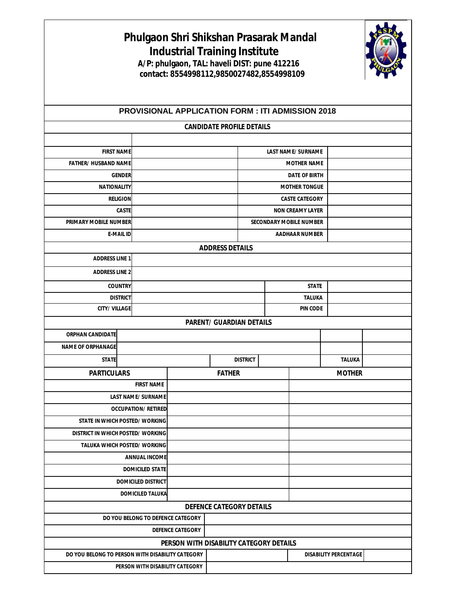|                                                                                                                             |                                  |  | Phulgaon Shri Shikshan Prasarak Mandal<br><b>Industrial Training Institute</b><br>A/P: phulgaon, TAL: haveli DIST: pune 412216<br>contact: 8554998112,9850027482,8554998109 |                                |                                               |               |  |  |  |  |  |  |
|-----------------------------------------------------------------------------------------------------------------------------|----------------------------------|--|-----------------------------------------------------------------------------------------------------------------------------------------------------------------------------|--------------------------------|-----------------------------------------------|---------------|--|--|--|--|--|--|
| <b>PROVISIONAL APPLICATION FORM : ITI ADMISSION 2018</b><br><b>CANDIDATE PROFILE DETAILS</b>                                |                                  |  |                                                                                                                                                                             |                                |                                               |               |  |  |  |  |  |  |
|                                                                                                                             |                                  |  |                                                                                                                                                                             |                                |                                               |               |  |  |  |  |  |  |
| <b>FIRST NAME</b>                                                                                                           |                                  |  | <b>LAST NAME/SURNAME</b>                                                                                                                                                    |                                |                                               |               |  |  |  |  |  |  |
|                                                                                                                             | <b>FATHER/ HUSBAND NAME</b>      |  |                                                                                                                                                                             | <b>MOTHER NAME</b>             |                                               |               |  |  |  |  |  |  |
|                                                                                                                             | <b>GENDER</b>                    |  |                                                                                                                                                                             |                                | <b>DATE OF BIRTH</b>                          |               |  |  |  |  |  |  |
| <b>NATIONALITY</b><br><b>RELIGION</b>                                                                                       |                                  |  |                                                                                                                                                                             |                                | <b>MOTHER TONGUE</b><br><b>CASTE CATEGORY</b> |               |  |  |  |  |  |  |
|                                                                                                                             | <b>CASTE</b>                     |  |                                                                                                                                                                             | <b>NON CREAMY LAYER</b>        |                                               |               |  |  |  |  |  |  |
| <b>PRIMARY MOBILE NUMBER</b>                                                                                                |                                  |  |                                                                                                                                                                             | <b>SECONDARY MOBILE NUMBER</b> |                                               |               |  |  |  |  |  |  |
| <b>E-MAIL ID</b>                                                                                                            |                                  |  |                                                                                                                                                                             |                                | <b>AADHAAR NUMBER</b>                         |               |  |  |  |  |  |  |
|                                                                                                                             |                                  |  | <b>ADDRESS DETAILS</b>                                                                                                                                                      |                                |                                               |               |  |  |  |  |  |  |
| <b>ADDRESS LINE 1</b>                                                                                                       |                                  |  |                                                                                                                                                                             |                                |                                               |               |  |  |  |  |  |  |
| <b>ADDRESS LINE 2</b>                                                                                                       |                                  |  |                                                                                                                                                                             |                                |                                               |               |  |  |  |  |  |  |
| <b>COUNTRY</b>                                                                                                              |                                  |  |                                                                                                                                                                             |                                | <b>STATE</b>                                  |               |  |  |  |  |  |  |
|                                                                                                                             | <b>DISTRICT</b>                  |  |                                                                                                                                                                             |                                | TALUKA                                        |               |  |  |  |  |  |  |
| <b>CITY/ VILLAGE</b>                                                                                                        |                                  |  |                                                                                                                                                                             |                                | <b>PIN CODE</b>                               |               |  |  |  |  |  |  |
|                                                                                                                             |                                  |  | <b>PARENT/ GUARDIAN DETAILS</b>                                                                                                                                             |                                |                                               |               |  |  |  |  |  |  |
| <b>ORPHAN CANDIDATE</b>                                                                                                     |                                  |  |                                                                                                                                                                             |                                |                                               |               |  |  |  |  |  |  |
| <b>NAME OF ORPHANAGE</b>                                                                                                    |                                  |  |                                                                                                                                                                             |                                |                                               |               |  |  |  |  |  |  |
| <b>STATE</b>                                                                                                                |                                  |  | <b>DISTRICT</b>                                                                                                                                                             |                                |                                               | TALUKA        |  |  |  |  |  |  |
| <b>PARTICULARS</b>                                                                                                          |                                  |  | <b>FATHER</b>                                                                                                                                                               |                                |                                               | <b>MOTHER</b> |  |  |  |  |  |  |
|                                                                                                                             | <b>FIRST NAME</b>                |  |                                                                                                                                                                             |                                |                                               |               |  |  |  |  |  |  |
|                                                                                                                             | <b>LAST NAME/SURNAME</b>         |  |                                                                                                                                                                             |                                |                                               |               |  |  |  |  |  |  |
| <b>OCCUPATION/ RETIRED</b>                                                                                                  |                                  |  |                                                                                                                                                                             |                                |                                               |               |  |  |  |  |  |  |
|                                                                                                                             | STATE IN WHICH POSTED/WORKING    |  |                                                                                                                                                                             |                                |                                               |               |  |  |  |  |  |  |
|                                                                                                                             | DISTRICT IN WHICH POSTED/WORKING |  |                                                                                                                                                                             |                                |                                               |               |  |  |  |  |  |  |
|                                                                                                                             | TALUKA WHICH POSTED/ WORKING     |  |                                                                                                                                                                             |                                |                                               |               |  |  |  |  |  |  |
| <b>ANNUAL INCOME</b>                                                                                                        |                                  |  |                                                                                                                                                                             |                                |                                               |               |  |  |  |  |  |  |
| <b>DOMICILED STATE</b>                                                                                                      |                                  |  |                                                                                                                                                                             |                                |                                               |               |  |  |  |  |  |  |
| <b>DOMICILED DISTRICT</b>                                                                                                   |                                  |  |                                                                                                                                                                             |                                |                                               |               |  |  |  |  |  |  |
| <b>DOMICILED TALUKA</b>                                                                                                     |                                  |  |                                                                                                                                                                             |                                |                                               |               |  |  |  |  |  |  |
|                                                                                                                             |                                  |  | <b>DEFENCE CATEGORY DETAILS</b>                                                                                                                                             |                                |                                               |               |  |  |  |  |  |  |
| DO YOU BELONG TO DEFENCE CATEGORY                                                                                           |                                  |  |                                                                                                                                                                             |                                |                                               |               |  |  |  |  |  |  |
| <b>DEFENCE CATEGORY</b>                                                                                                     |                                  |  |                                                                                                                                                                             |                                |                                               |               |  |  |  |  |  |  |
| PERSON WITH DISABILITY CATEGORY DETAILS<br>DO YOU BELONG TO PERSON WITH DISABILITY CATEGORY<br><b>DISABILITY PERCENTAGE</b> |                                  |  |                                                                                                                                                                             |                                |                                               |               |  |  |  |  |  |  |
| PERSON WITH DISABILITY CATEGORY                                                                                             |                                  |  |                                                                                                                                                                             |                                |                                               |               |  |  |  |  |  |  |